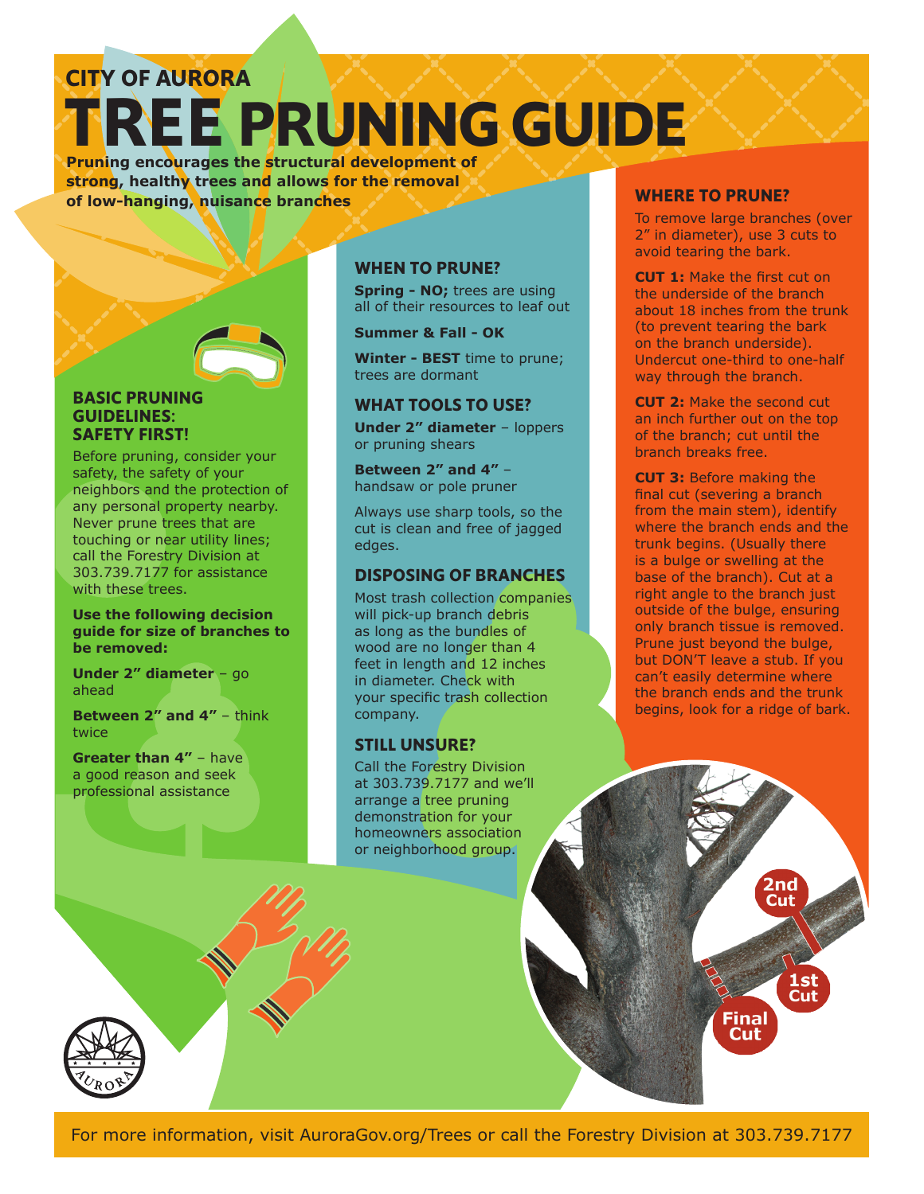## **TREE PRUNING GUIDE CITY OF AURORA**

**Pruning encourages the structural development of strong, healthy trees and allows for the removal of low-hanging, nuisance branches**

#### **BASIC PRUNING GUIDELINES: SAFETY FIRST!**

Before pruning, consider your safety, the safety of your neighbors and the protection of any personal property nearby. Never prune trees that are touching or near utility lines; call the Forestry Division at 303.739.7177 for assistance with these trees.

#### **Use the following decision guide for size of branches to be removed:**

**Under 2" diameter** – go ahead

**Between 2" and 4"** - think twice

**Greater than 4"** – have a good reason and seek professional assistance

### **WHEN TO PRUNE?**

**Spring - NO;** trees are using all of their resources to leaf out

**Summer & Fall - OK**

**Winter - BEST** time to prune; trees are dormant

### **WHAT TOOLS TO USE?**

**Under 2" diameter** – loppers or pruning shears

**Between 2" and 4"** – handsaw or pole pruner

Always use sharp tools, so the cut is clean and free of jagged edges.

### **DISPOSING OF BRANCHES**

Most trash collection companies will pick-up branch debris as long as the bundles of wood are no longer than 4 feet in length and 12 inches in diameter. Check with your specific trash collection company.

### **STILL UNSURE?**

Call the Forestry Division at 303.739.7177 and we'll arrange a tree pruning demonstration for your homeowners association or neighborhood group.

### **WHERE TO PRUNE?**

To remove large branches (over 2" in diameter), use 3 cuts to avoid tearing the bark.

**CUT 1:** Make the first cut on the underside of the branch about 18 inches from the trunk (to prevent tearing the bark on the branch underside). Undercut one-third to one-half way through the branch.

**CUT 2:** Make the second cut an inch further out on the top of the branch; cut until the branch breaks free.

**CUT 3:** Before making the final cut (severing a branch from the main stem), identify where the branch ends and the trunk begins. (Usually there is a bulge or swelling at the base of the branch). Cut at a right angle to the branch just outside of the bulge, ensuring only branch tissue is removed. Prune just beyond the bulge, but DON'T leave a stub. If you can't easily determine where the branch ends and the trunk begins, look for a ridge of bark.

> 2nd Cut

Final Cut

1 st Cut

For more information, visit AuroraGov.org/Trees or call the Forestry Division at 303.739.7177